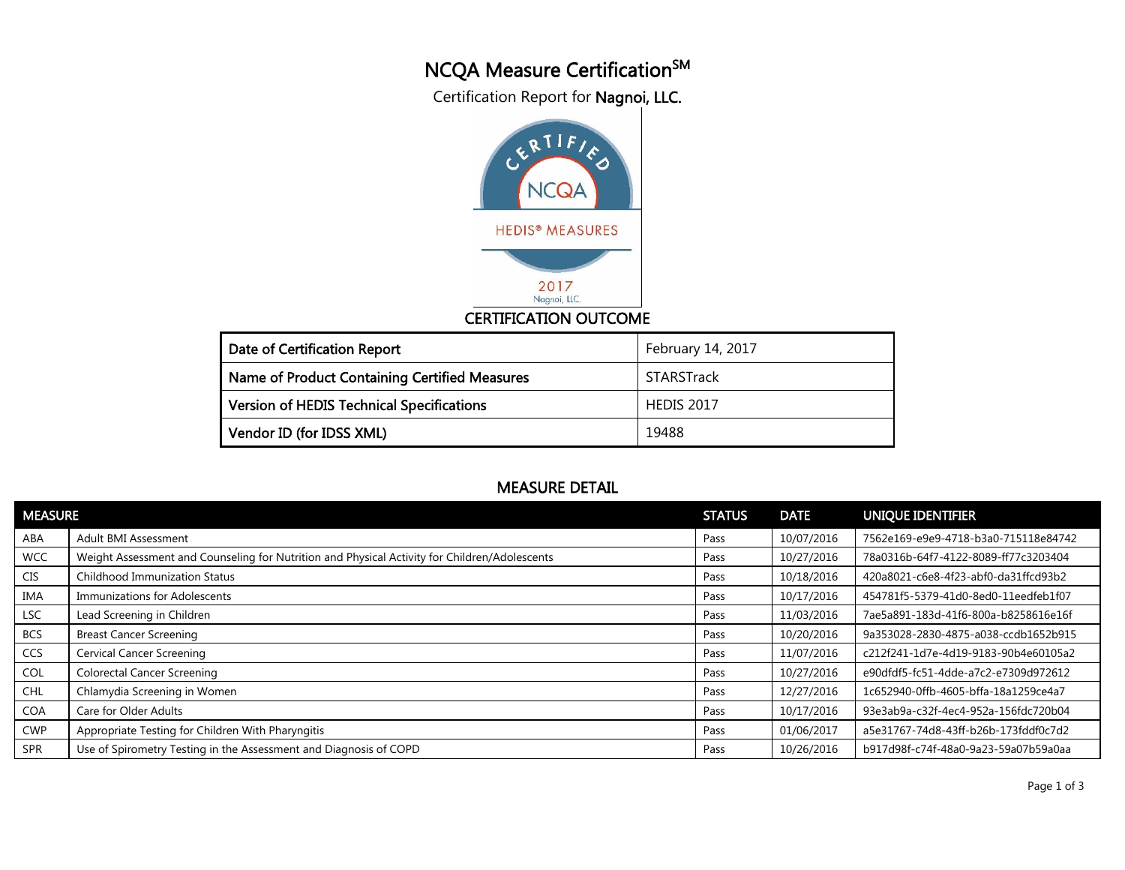## NCQA Measure Certification<sup>SM</sup>

Certification Report for Nagnoi, LLC.



## CERTIFICATION OUTCOME

| Date of Certification Report                     | February 14, 2017 |
|--------------------------------------------------|-------------------|
| Name of Product Containing Certified Measures    | STARSTrack        |
| <b>Version of HEDIS Technical Specifications</b> | <b>HEDIS 2017</b> |
| Vendor ID (for IDSS XML)                         | 19488             |

## MEASURE DETAIL

| <b>MEASURE</b> |                                                                                               | <b>STATUS</b> | <b>DATE</b> | UNIQUE IDENTIFIER                    |
|----------------|-----------------------------------------------------------------------------------------------|---------------|-------------|--------------------------------------|
| ABA            | Adult BMI Assessment                                                                          | Pass          | 10/07/2016  | 7562e169-e9e9-4718-b3a0-715118e84742 |
| <b>WCC</b>     | Weight Assessment and Counseling for Nutrition and Physical Activity for Children/Adolescents | Pass          | 10/27/2016  | 78a0316b-64f7-4122-8089-ff77c3203404 |
| <b>CIS</b>     | <b>Childhood Immunization Status</b>                                                          | Pass          | 10/18/2016  | 420a8021-c6e8-4f23-abf0-da31ffcd93b2 |
| <b>IMA</b>     | Immunizations for Adolescents                                                                 | Pass          | 10/17/2016  | 454781f5-5379-41d0-8ed0-11eedfeb1f07 |
| LSC            | Lead Screening in Children                                                                    | Pass          | 11/03/2016  | 7ae5a891-183d-41f6-800a-b8258616e16f |
| <b>BCS</b>     | <b>Breast Cancer Screening</b>                                                                | Pass          | 10/20/2016  | 9a353028-2830-4875-a038-ccdb1652b915 |
| <b>CCS</b>     | <b>Cervical Cancer Screening</b>                                                              | Pass          | 11/07/2016  | c212f241-1d7e-4d19-9183-90b4e60105a2 |
| <b>COL</b>     | <b>Colorectal Cancer Screening</b>                                                            | Pass          | 10/27/2016  | e90dfdf5-fc51-4dde-a7c2-e7309d972612 |
| <b>CHL</b>     | Chlamydia Screening in Women                                                                  | Pass          | 12/27/2016  | 1c652940-0ffb-4605-bffa-18a1259ce4a7 |
| <b>COA</b>     | Care for Older Adults                                                                         | Pass          | 10/17/2016  | 93e3ab9a-c32f-4ec4-952a-156fdc720b04 |
| <b>CWP</b>     | Appropriate Testing for Children With Pharyngitis                                             | Pass          | 01/06/2017  | a5e31767-74d8-43ff-b26b-173fddf0c7d2 |
| <b>SPR</b>     | Use of Spirometry Testing in the Assessment and Diagnosis of COPD                             | Pass          | 10/26/2016  | b917d98f-c74f-48a0-9a23-59a07b59a0aa |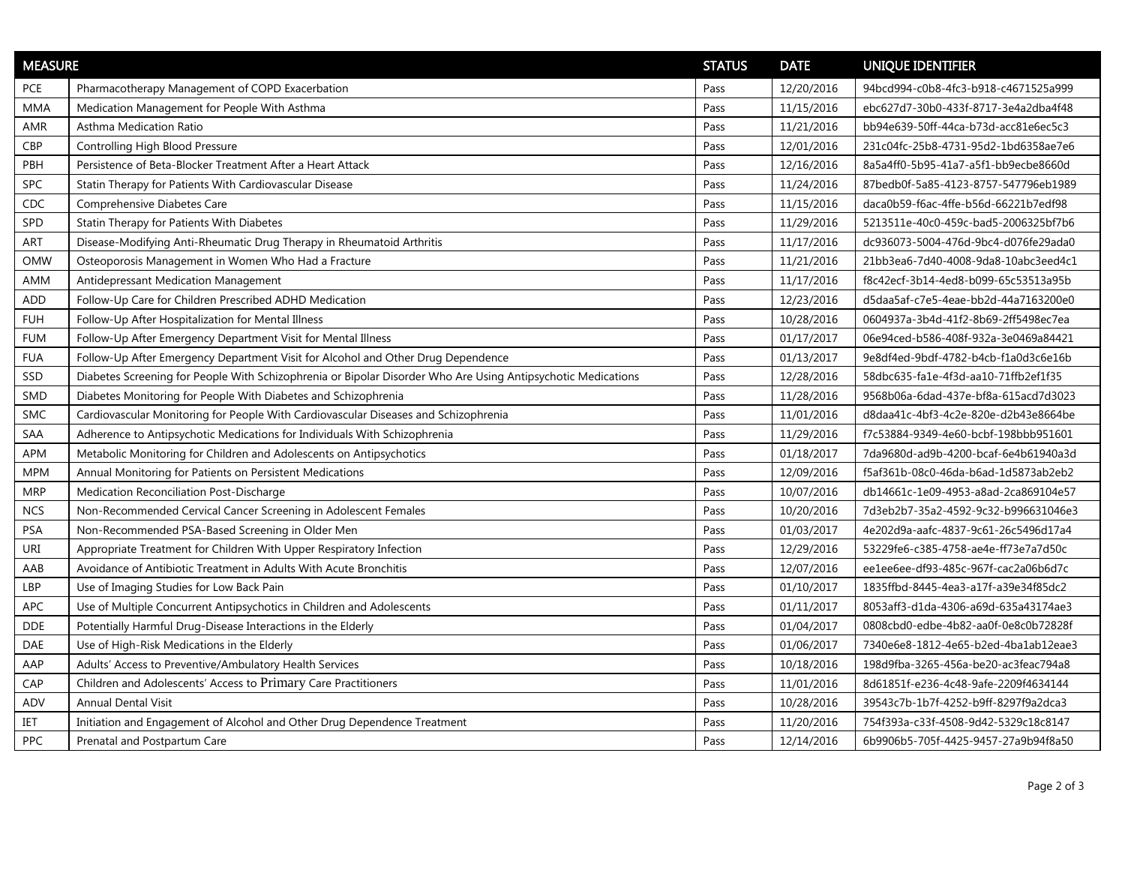| <b>MEASURE</b> |                                                                                                              | <b>STATUS</b> | <b>DATE</b> | UNIQUE IDENTIFIER                    |
|----------------|--------------------------------------------------------------------------------------------------------------|---------------|-------------|--------------------------------------|
| <b>PCE</b>     | Pharmacotherapy Management of COPD Exacerbation                                                              | Pass          | 12/20/2016  | 94bcd994-c0b8-4fc3-b918-c4671525a999 |
| MMA            | Medication Management for People With Asthma                                                                 | Pass          | 11/15/2016  | ebc627d7-30b0-433f-8717-3e4a2dba4f48 |
| AMR            | Asthma Medication Ratio                                                                                      | Pass          | 11/21/2016  | bb94e639-50ff-44ca-b73d-acc81e6ec5c3 |
| <b>CBP</b>     | Controlling High Blood Pressure                                                                              | Pass          | 12/01/2016  | 231c04fc-25b8-4731-95d2-1bd6358ae7e6 |
| PBH            | Persistence of Beta-Blocker Treatment After a Heart Attack                                                   | Pass          | 12/16/2016  | 8a5a4ff0-5b95-41a7-a5f1-bb9ecbe8660d |
| SPC            | Statin Therapy for Patients With Cardiovascular Disease                                                      | Pass          | 11/24/2016  | 87bedb0f-5a85-4123-8757-547796eb1989 |
| CDC            | Comprehensive Diabetes Care                                                                                  | Pass          | 11/15/2016  | daca0b59-f6ac-4ffe-b56d-66221b7edf98 |
| SPD            | Statin Therapy for Patients With Diabetes                                                                    | Pass          | 11/29/2016  | 5213511e-40c0-459c-bad5-2006325bf7b6 |
| ART            | Disease-Modifying Anti-Rheumatic Drug Therapy in Rheumatoid Arthritis                                        | Pass          | 11/17/2016  | dc936073-5004-476d-9bc4-d076fe29ada0 |
| <b>OMW</b>     | Osteoporosis Management in Women Who Had a Fracture                                                          | Pass          | 11/21/2016  | 21bb3ea6-7d40-4008-9da8-10abc3eed4c1 |
| AMM            | Antidepressant Medication Management                                                                         | Pass          | 11/17/2016  | f8c42ecf-3b14-4ed8-b099-65c53513a95b |
| ADD            | Follow-Up Care for Children Prescribed ADHD Medication                                                       | Pass          | 12/23/2016  | d5daa5af-c7e5-4eae-bb2d-44a7163200e0 |
| <b>FUH</b>     | Follow-Up After Hospitalization for Mental Illness                                                           | Pass          | 10/28/2016  | 0604937a-3b4d-41f2-8b69-2ff5498ec7ea |
| <b>FUM</b>     | Follow-Up After Emergency Department Visit for Mental Illness                                                | Pass          | 01/17/2017  | 06e94ced-b586-408f-932a-3e0469a84421 |
| <b>FUA</b>     | Follow-Up After Emergency Department Visit for Alcohol and Other Drug Dependence                             | Pass          | 01/13/2017  | 9e8df4ed-9bdf-4782-b4cb-f1a0d3c6e16b |
| SSD            | Diabetes Screening for People With Schizophrenia or Bipolar Disorder Who Are Using Antipsychotic Medications | Pass          | 12/28/2016  | 58dbc635-fa1e-4f3d-aa10-71ffb2ef1f35 |
| <b>SMD</b>     | Diabetes Monitoring for People With Diabetes and Schizophrenia                                               | Pass          | 11/28/2016  | 9568b06a-6dad-437e-bf8a-615acd7d3023 |
| <b>SMC</b>     | Cardiovascular Monitoring for People With Cardiovascular Diseases and Schizophrenia                          | Pass          | 11/01/2016  | d8daa41c-4bf3-4c2e-820e-d2b43e8664be |
| SAA            | Adherence to Antipsychotic Medications for Individuals With Schizophrenia                                    | Pass          | 11/29/2016  | f7c53884-9349-4e60-bcbf-198bbb951601 |
| APM            | Metabolic Monitoring for Children and Adolescents on Antipsychotics                                          | Pass          | 01/18/2017  | 7da9680d-ad9b-4200-bcaf-6e4b61940a3d |
| <b>MPM</b>     | Annual Monitoring for Patients on Persistent Medications                                                     | Pass          | 12/09/2016  | f5af361b-08c0-46da-b6ad-1d5873ab2eb2 |
| MRP            | Medication Reconciliation Post-Discharge                                                                     | Pass          | 10/07/2016  | db14661c-1e09-4953-a8ad-2ca869104e57 |
| <b>NCS</b>     | Non-Recommended Cervical Cancer Screening in Adolescent Females                                              | Pass          | 10/20/2016  | 7d3eb2b7-35a2-4592-9c32-b996631046e3 |
| <b>PSA</b>     | Non-Recommended PSA-Based Screening in Older Men                                                             | Pass          | 01/03/2017  | 4e202d9a-aafc-4837-9c61-26c5496d17a4 |
| URI            | Appropriate Treatment for Children With Upper Respiratory Infection                                          | Pass          | 12/29/2016  | 53229fe6-c385-4758-ae4e-ff73e7a7d50c |
| AAB            | Avoidance of Antibiotic Treatment in Adults With Acute Bronchitis                                            | Pass          | 12/07/2016  | ee1ee6ee-df93-485c-967f-cac2a06b6d7c |
| LBP            | Use of Imaging Studies for Low Back Pain                                                                     | Pass          | 01/10/2017  | 1835ffbd-8445-4ea3-a17f-a39e34f85dc2 |
| APC            | Use of Multiple Concurrent Antipsychotics in Children and Adolescents                                        | Pass          | 01/11/2017  | 8053aff3-d1da-4306-a69d-635a43174ae3 |
| <b>DDE</b>     | Potentially Harmful Drug-Disease Interactions in the Elderly                                                 | Pass          | 01/04/2017  | 0808cbd0-edbe-4b82-aa0f-0e8c0b72828f |
| DAE            | Use of High-Risk Medications in the Elderly                                                                  | Pass          | 01/06/2017  | 7340e6e8-1812-4e65-b2ed-4ba1ab12eae3 |
| AAP            | Adults' Access to Preventive/Ambulatory Health Services                                                      | Pass          | 10/18/2016  | 198d9fba-3265-456a-be20-ac3feac794a8 |
| CAP            | Children and Adolescents' Access to Primary Care Practitioners                                               | Pass          | 11/01/2016  | 8d61851f-e236-4c48-9afe-2209f4634144 |
| ADV            | <b>Annual Dental Visit</b>                                                                                   | Pass          | 10/28/2016  | 39543c7b-1b7f-4252-b9ff-8297f9a2dca3 |
| IET            | Initiation and Engagement of Alcohol and Other Drug Dependence Treatment                                     | Pass          | 11/20/2016  | 754f393a-c33f-4508-9d42-5329c18c8147 |
| PPC            | Prenatal and Postpartum Care                                                                                 | Pass          | 12/14/2016  | 6b9906b5-705f-4425-9457-27a9b94f8a50 |